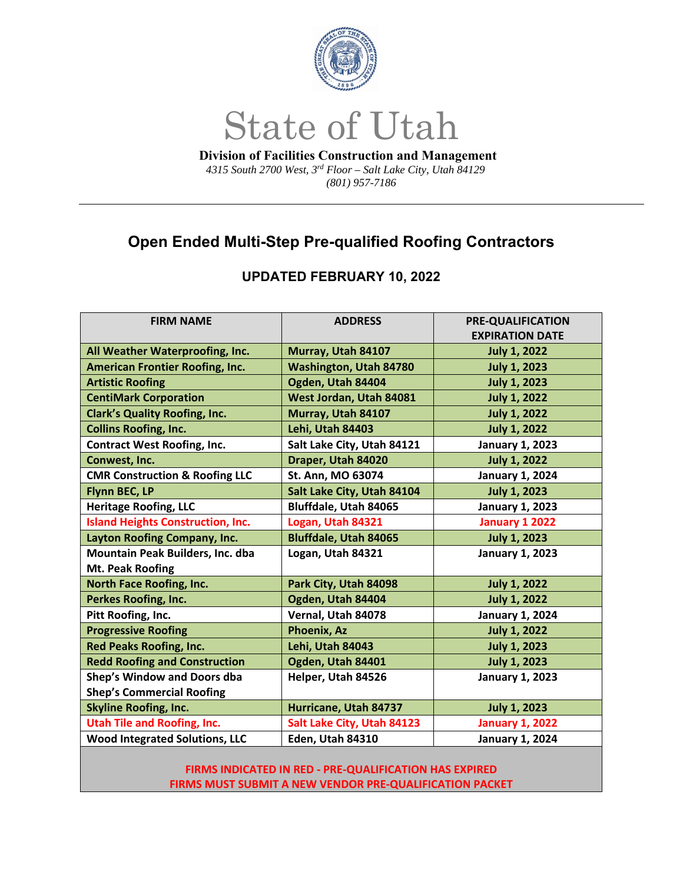

## State of Utah

 **Division of Facilities Construction and Management**   *4315 South 2700 West, 3rd Floor – Salt Lake City, Utah 84129 (801) 957-7186* 

## **Open Ended Multi-Step Pre-qualified Roofing Contractors**

## **UPDATED FEBRUARY 10, 2022**

| <b>FIRM NAME</b>                          | <b>ADDRESS</b>                | <b>PRE-QUALIFICATION</b> |
|-------------------------------------------|-------------------------------|--------------------------|
|                                           |                               | <b>EXPIRATION DATE</b>   |
| All Weather Waterproofing, Inc.           | Murray, Utah 84107            | <b>July 1, 2022</b>      |
| <b>American Frontier Roofing, Inc.</b>    | <b>Washington, Utah 84780</b> | <b>July 1, 2023</b>      |
| <b>Artistic Roofing</b>                   | Ogden, Utah 84404             | <b>July 1, 2023</b>      |
| <b>CentiMark Corporation</b>              | West Jordan, Utah 84081       | <b>July 1, 2022</b>      |
| <b>Clark's Quality Roofing, Inc.</b>      | Murray, Utah 84107            | <b>July 1, 2022</b>      |
| <b>Collins Roofing, Inc.</b>              | Lehi, Utah 84403              | <b>July 1, 2022</b>      |
| <b>Contract West Roofing, Inc.</b>        | Salt Lake City, Utah 84121    | <b>January 1, 2023</b>   |
| Conwest, Inc.                             | Draper, Utah 84020            | <b>July 1, 2022</b>      |
| <b>CMR Construction &amp; Roofing LLC</b> | St. Ann, MO 63074             | <b>January 1, 2024</b>   |
| Flynn BEC, LP                             | Salt Lake City, Utah 84104    | <b>July 1, 2023</b>      |
| <b>Heritage Roofing, LLC</b>              | Bluffdale, Utah 84065         | <b>January 1, 2023</b>   |
| <b>Island Heights Construction, Inc.</b>  | Logan, Utah 84321             | January 1 2022           |
| Layton Roofing Company, Inc.              | <b>Bluffdale, Utah 84065</b>  | <b>July 1, 2023</b>      |
| Mountain Peak Builders, Inc. dba          | Logan, Utah 84321             | <b>January 1, 2023</b>   |
| <b>Mt. Peak Roofing</b>                   |                               |                          |
| <b>North Face Roofing, Inc.</b>           | Park City, Utah 84098         | <b>July 1, 2022</b>      |
| <b>Perkes Roofing, Inc.</b>               | Ogden, Utah 84404             | <b>July 1, 2022</b>      |
| Pitt Roofing, Inc.                        | Vernal, Utah 84078            | <b>January 1, 2024</b>   |
| <b>Progressive Roofing</b>                | <b>Phoenix, Az</b>            | <b>July 1, 2022</b>      |
| <b>Red Peaks Roofing, Inc.</b>            | Lehi, Utah 84043              | <b>July 1, 2023</b>      |
| <b>Redd Roofing and Construction</b>      | Ogden, Utah 84401             | <b>July 1, 2023</b>      |
| Shep's Window and Doors dba               | Helper, Utah 84526            | <b>January 1, 2023</b>   |
| <b>Shep's Commercial Roofing</b>          |                               |                          |
| <b>Skyline Roofing, Inc.</b>              | Hurricane, Utah 84737         | <b>July 1, 2023</b>      |
| <b>Utah Tile and Roofing, Inc.</b>        | Salt Lake City, Utah 84123    | <b>January 1, 2022</b>   |
| <b>Wood Integrated Solutions, LLC</b>     | Eden, Utah 84310              | <b>January 1, 2024</b>   |

**FIRMS INDICATED IN RED ‐ PRE‐QUALIFICATION HAS EXPIRED FIRMS MUST SUBMIT A NEW VENDOR PRE‐QUALIFICATION PACKET**